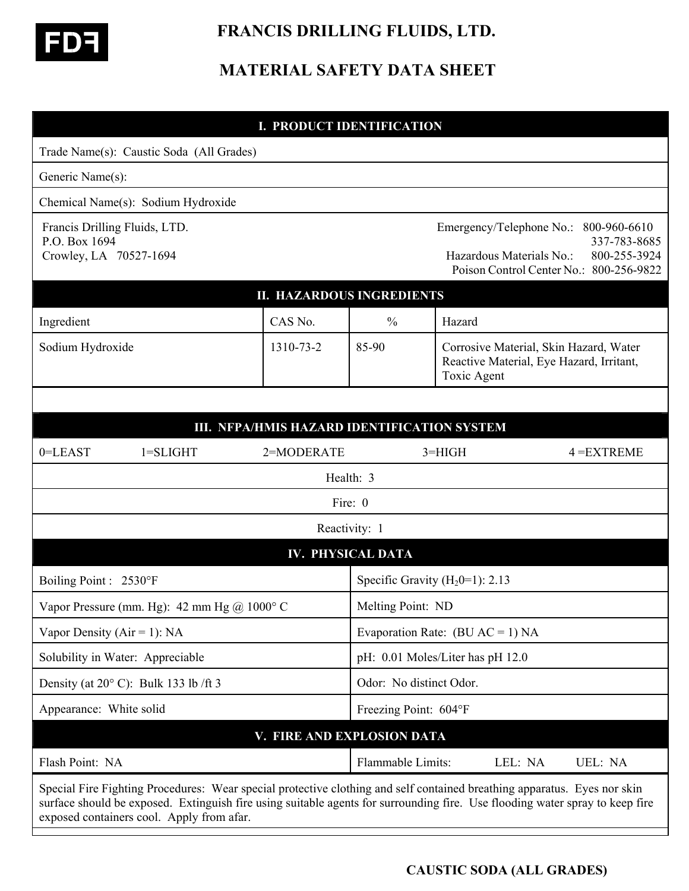

# **FRANCIS DRILLING FLUIDS, LTD.**

## **MATERIAL SAFETY DATA SHEET**

|                                                                          | <b>I. PRODUCT IDENTIFICATION</b>            |                                    |                                                                                                                                                                                                                                                          |  |
|--------------------------------------------------------------------------|---------------------------------------------|------------------------------------|----------------------------------------------------------------------------------------------------------------------------------------------------------------------------------------------------------------------------------------------------------|--|
| Trade Name(s): Caustic Soda (All Grades)                                 |                                             |                                    |                                                                                                                                                                                                                                                          |  |
| Generic Name(s):                                                         |                                             |                                    |                                                                                                                                                                                                                                                          |  |
| Chemical Name(s): Sodium Hydroxide                                       |                                             |                                    |                                                                                                                                                                                                                                                          |  |
| Francis Drilling Fluids, LTD.<br>P.O. Box 1694<br>Crowley, LA 70527-1694 |                                             |                                    | Emergency/Telephone No.:<br>800-960-6610<br>337-783-8685<br>800-255-3924<br>Hazardous Materials No.:<br>Poison Control Center No.: 800-256-9822                                                                                                          |  |
|                                                                          | <b>II. HAZARDOUS INGREDIENTS</b>            |                                    |                                                                                                                                                                                                                                                          |  |
| Ingredient                                                               | CAS No.                                     | $\frac{0}{0}$                      | Hazard                                                                                                                                                                                                                                                   |  |
| Sodium Hydroxide                                                         | 1310-73-2                                   | 85-90                              | Corrosive Material, Skin Hazard, Water<br>Reactive Material, Eye Hazard, Irritant,<br><b>Toxic Agent</b>                                                                                                                                                 |  |
|                                                                          |                                             |                                    |                                                                                                                                                                                                                                                          |  |
|                                                                          | III. NFPA/HMIS HAZARD IDENTIFICATION SYSTEM |                                    |                                                                                                                                                                                                                                                          |  |
| $1 = SLIGHT$<br>0=LEAST                                                  | 2=MODERATE                                  |                                    | $3 = HIGH$<br>$4 = EXTREME$                                                                                                                                                                                                                              |  |
|                                                                          |                                             | Health: 3                          |                                                                                                                                                                                                                                                          |  |
|                                                                          |                                             | Fire: 0                            |                                                                                                                                                                                                                                                          |  |
| Reactivity: 1                                                            |                                             |                                    |                                                                                                                                                                                                                                                          |  |
|                                                                          |                                             | <b>IV. PHYSICAL DATA</b>           |                                                                                                                                                                                                                                                          |  |
| Boiling Point : 2530°F                                                   |                                             | Specific Gravity $(H_20=1)$ : 2.13 |                                                                                                                                                                                                                                                          |  |
| Vapor Pressure (mm. Hg): 42 mm Hg $\omega$ 1000° C                       |                                             | Melting Point: ND                  |                                                                                                                                                                                                                                                          |  |
| Vapor Density ( $Air = 1$ ): NA                                          |                                             | Evaporation Rate: $(BU AC = 1) NA$ |                                                                                                                                                                                                                                                          |  |
| Solubility in Water: Appreciable                                         |                                             | pH: 0.01 Moles/Liter has pH 12.0   |                                                                                                                                                                                                                                                          |  |
| Density (at $20^{\circ}$ C): Bulk 133 lb/ft 3                            |                                             | Odor: No distinct Odor.            |                                                                                                                                                                                                                                                          |  |
| Appearance: White solid                                                  |                                             | Freezing Point: 604°F              |                                                                                                                                                                                                                                                          |  |
|                                                                          | V. FIRE AND EXPLOSION DATA                  |                                    |                                                                                                                                                                                                                                                          |  |
| Flash Point: NA                                                          |                                             | Flammable Limits:                  | LEL: NA<br>UEL: NA                                                                                                                                                                                                                                       |  |
| exposed containers cool. Apply from afar.                                |                                             |                                    | Special Fire Fighting Procedures: Wear special protective clothing and self contained breathing apparatus. Eyes nor skin<br>surface should be exposed. Extinguish fire using suitable agents for surrounding fire. Use flooding water spray to keep fire |  |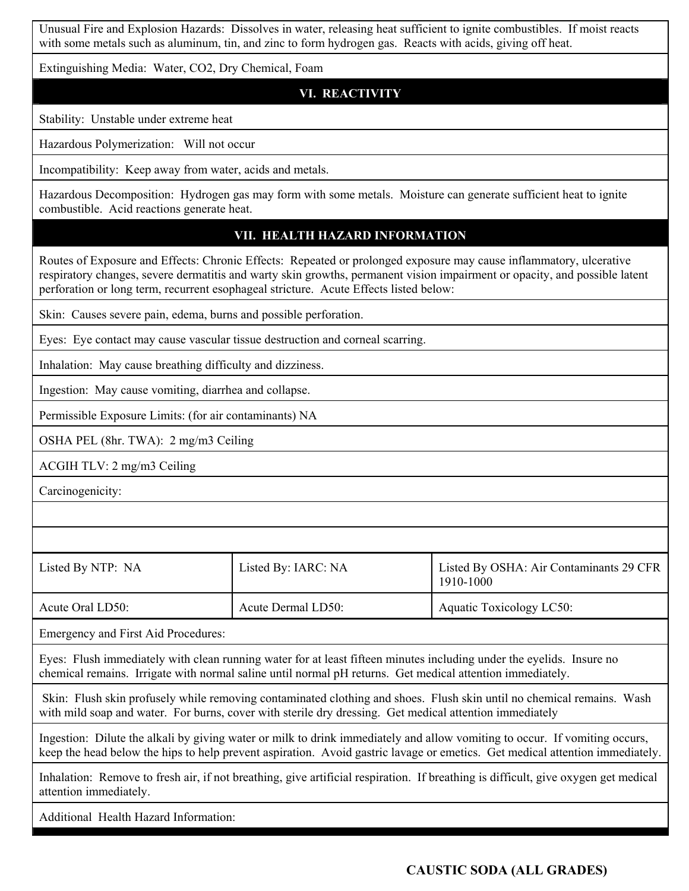Unusual Fire and Explosion Hazards: Dissolves in water, releasing heat sufficient to ignite combustibles. If moist reacts with some metals such as aluminum, tin, and zinc to form hydrogen gas. Reacts with acids, giving off heat.

Extinguishing Media: Water, CO2, Dry Chemical, Foam

**VI. REACTIVITY**

Stability: Unstable under extreme heat

Hazardous Polymerization: Will not occur

Incompatibility: Keep away from water, acids and metals.

Hazardous Decomposition: Hydrogen gas may form with some metals. Moisture can generate sufficient heat to ignite combustible. Acid reactions generate heat.

#### **VII. HEALTH HAZARD INFORMATION**

Routes of Exposure and Effects: Chronic Effects: Repeated or prolonged exposure may cause inflammatory, ulcerative respiratory changes, severe dermatitis and warty skin growths, permanent vision impairment or opacity, and possible latent perforation or long term, recurrent esophageal stricture. Acute Effects listed below:

Skin: Causes severe pain, edema, burns and possible perforation.

Eyes: Eye contact may cause vascular tissue destruction and corneal scarring.

Inhalation: May cause breathing difficulty and dizziness.

Ingestion: May cause vomiting, diarrhea and collapse.

Permissible Exposure Limits: (for air contaminants) NA

OSHA PEL (8hr. TWA): 2 mg/m3 Ceiling

ACGIH TLV: 2 mg/m3 Ceiling

Carcinogenicity:

Listed By NTP: NA Listed By: IARC: NA Listed By OSHA: Air Contaminants 29 CFR 1910-1000 Acute Oral LD50: Acute Dermal LD50: Aquatic Toxicology LC50:

Emergency and First Aid Procedures:

Eyes: Flush immediately with clean running water for at least fifteen minutes including under the eyelids. Insure no chemical remains. Irrigate with normal saline until normal pH returns. Get medical attention immediately.

 Skin: Flush skin profusely while removing contaminated clothing and shoes. Flush skin until no chemical remains. Wash with mild soap and water. For burns, cover with sterile dry dressing. Get medical attention immediately

Ingestion: Dilute the alkali by giving water or milk to drink immediately and allow vomiting to occur. If vomiting occurs, keep the head below the hips to help prevent aspiration. Avoid gastric lavage or emetics. Get medical attention immediately.

Inhalation: Remove to fresh air, if not breathing, give artificial respiration. If breathing is difficult, give oxygen get medical attention immediately.

Additional Health Hazard Information: